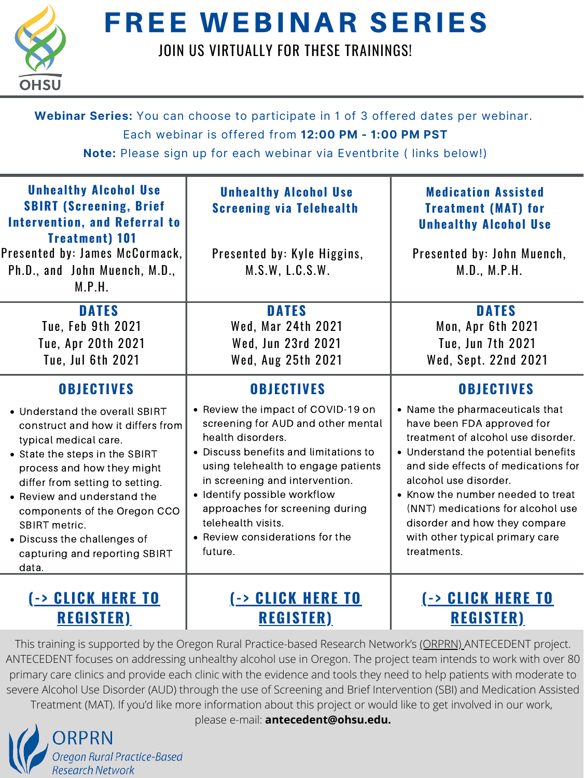This training is supported by the Oregon Rural Practice-based Research Network's [\(ORPRN\)](https://www.ohsu.edu/oregon-rural-practice-based-research-network) ANTECEDENT project. ANTECEDENT focuses on addressing unhealthy alcohol use in Oregon. The project team intends to work with over 80 primary care clinics and provide each clinic with the evidence and tools they need to help patients with moderate to severe Alcohol Use Disorder (AUD) through the use of Screening and Brief Intervention (SBI) and Medication Assisted Treatment (MAT). If you'd like more information about this project or would like to get involved in our work, please e-mail: **antecedent@ohsu.edu.**





## FREE WEBINAR SERIES

## JOIN US VIRTUALLY FOR THESE TRAININGS!

| Webinar Series: You can choose to participate in 1 of 3 offered dates per webinar.<br>Each webinar is offered from 12:00 PM - 1:00 PM PST<br>Note: Please sign up for each webinar via Eventbrite (links below!)                                                                                                                                                                     |                                                                                                                                                                                                                                                                                                                                                                             |                                                                                                                                                                                                                                                                                                                                                                                              |  |
|--------------------------------------------------------------------------------------------------------------------------------------------------------------------------------------------------------------------------------------------------------------------------------------------------------------------------------------------------------------------------------------|-----------------------------------------------------------------------------------------------------------------------------------------------------------------------------------------------------------------------------------------------------------------------------------------------------------------------------------------------------------------------------|----------------------------------------------------------------------------------------------------------------------------------------------------------------------------------------------------------------------------------------------------------------------------------------------------------------------------------------------------------------------------------------------|--|
| <b>Unhealthy Alcohol Use</b><br><b>SBIRT (Screening, Brief</b><br><b>Intervention, and Referral to</b><br><b>Treatment</b> ) 101<br>Presented by: James McCormack,  <br>Ph.D., and John Muench, M.D.,<br>M.P.H.                                                                                                                                                                      | <b>Unhealthy Alcohol Use</b><br><b>Screening via Telehealth</b><br>Presented by: Kyle Higgins,<br>M.S.W, L.C.S.W.                                                                                                                                                                                                                                                           | <b>Medication Assisted</b><br><b>Treatment (MAT) for</b><br><b>Unhealthy Alcohol Use</b><br>Presented by: John Muench,<br>M.D., M.P.H.                                                                                                                                                                                                                                                       |  |
| <b>DATES</b><br><b>Tue, Feb 9th 2021</b><br>Tue, Apr 20th 2021<br><b>Tue, Jul 6th 2021</b>                                                                                                                                                                                                                                                                                           | <b>DATES</b><br>Wed, Mar 24th 2021<br>Wed, Jun 23rd 2021<br><b>Wed, Aug 25th 2021</b>                                                                                                                                                                                                                                                                                       | <b>DATES</b><br>Mon, Apr 6th 2021<br><b>Tue, Jun 7th 2021</b><br>Wed, Sept. 22nd 2021                                                                                                                                                                                                                                                                                                        |  |
| <b>OBJECTIVES</b><br>• Understand the overall SBIRT<br>construct and how it differs from<br>typical medical care.<br>• State the steps in the SBIRT<br>process and how they might<br>differ from setting to setting.<br>• Review and understand the<br>components of the Oregon CCO<br><b>SBIRT metric.</b><br>• Discuss the challenges of<br>capturing and reporting SBIRT<br>data. | <b>OBJECTIVES</b><br>• Review the impact of COVID-19 on<br>screening for AUD and other mental<br>health disorders.<br>• Discuss benefits and limitations to<br>using telehealth to engage patients<br>in screening and intervention.<br>· Identify possible workflow<br>approaches for screening during<br>telehealth visits.<br>• Review considerations for the<br>future. | <b>OBJECTIVES</b><br>• Name the pharmaceuticals that<br>have been FDA approved for<br>treatment of alcohol use disorder.<br>• Understand the potential benefits<br>and side effects of medications for<br>alcohol use disorder.<br>• Know the number needed to treat<br>(NNT) medications for alcohol use<br>disorder and how they compare<br>with other typical primary care<br>treatments. |  |
| <b>E-&gt; CLICK HERE TO</b><br><b>REGISTER</b> )                                                                                                                                                                                                                                                                                                                                     | <b>-&gt; CLICK HERE TO</b><br><b>REGISTER</b> )                                                                                                                                                                                                                                                                                                                             | (-> CLICK HERE TO<br><b>REGISTER</b> )                                                                                                                                                                                                                                                                                                                                                       |  |